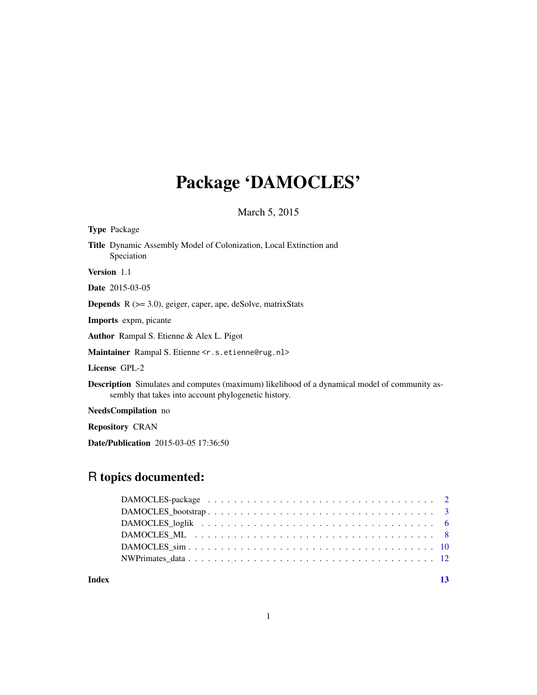# Package 'DAMOCLES'

March 5, 2015

| <b>Type Package</b>                                                                                                                                          |
|--------------------------------------------------------------------------------------------------------------------------------------------------------------|
| Title Dynamic Assembly Model of Colonization, Local Extinction and<br>Speciation                                                                             |
| <b>Version</b> 1.1                                                                                                                                           |
| <b>Date</b> 2015-03-05                                                                                                                                       |
| <b>Depends</b> $R$ ( $>=$ 3.0), geiger, caper, ape, deSolve, matrixStats                                                                                     |
| <b>Imports</b> expm, picante                                                                                                                                 |
| <b>Author</b> Rampal S. Etienne & Alex L. Pigot                                                                                                              |
| Maintainer Rampal S. Etienne < r. s. etienne@rug.nl>                                                                                                         |
| License GPL-2                                                                                                                                                |
| <b>Description</b> Simulates and computes (maximum) likelihood of a dynamical model of community as-<br>sembly that takes into account phylogenetic history. |
| NeedsCompilation no                                                                                                                                          |
| <b>Repository CRAN</b>                                                                                                                                       |
| <b>Date/Publication</b> 2015-03-05 17:36:50                                                                                                                  |

# R topics documented:

**Index** [13](#page-12-0)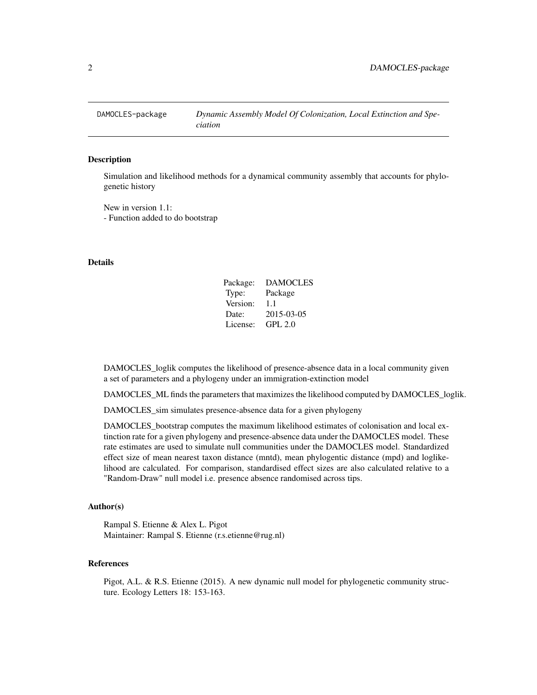<span id="page-1-0"></span>

#### Description

Simulation and likelihood methods for a dynamical community assembly that accounts for phylogenetic history

New in version 1.1: - Function added to do bootstrap

#### Details

| Package: | <b>DAMOCLES</b> |
|----------|-----------------|
| Type:    | Package         |
| Version: | 1.1             |
| Date:    | 2015-03-05      |
| License: | GPL 2.0         |

DAMOCLES\_loglik computes the likelihood of presence-absence data in a local community given a set of parameters and a phylogeny under an immigration-extinction model

DAMOCLES\_ML finds the parameters that maximizes the likelihood computed by DAMOCLES\_loglik.

DAMOCLES\_sim simulates presence-absence data for a given phylogeny

DAMOCLES\_bootstrap computes the maximum likelihood estimates of colonisation and local extinction rate for a given phylogeny and presence-absence data under the DAMOCLES model. These rate estimates are used to simulate null communities under the DAMOCLES model. Standardized effect size of mean nearest taxon distance (mntd), mean phylogentic distance (mpd) and loglikelihood are calculated. For comparison, standardised effect sizes are also calculated relative to a "Random-Draw" null model i.e. presence absence randomised across tips.

#### Author(s)

Rampal S. Etienne & Alex L. Pigot Maintainer: Rampal S. Etienne (r.s.etienne@rug.nl)

# References

Pigot, A.L. & R.S. Etienne (2015). A new dynamic null model for phylogenetic community structure. Ecology Letters 18: 153-163.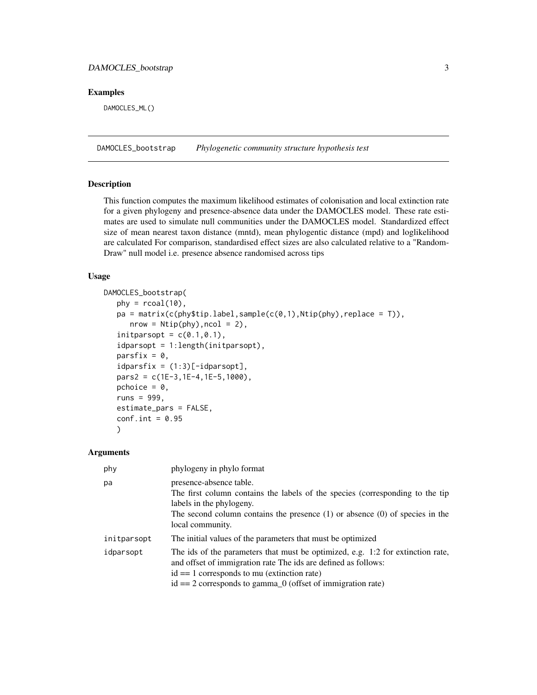# <span id="page-2-0"></span>DAMOCLES\_bootstrap 3

#### Examples

DAMOCLES\_ML()

DAMOCLES\_bootstrap *Phylogenetic community structure hypothesis test*

### Description

This function computes the maximum likelihood estimates of colonisation and local extinction rate for a given phylogeny and presence-absence data under the DAMOCLES model. These rate estimates are used to simulate null communities under the DAMOCLES model. Standardized effect size of mean nearest taxon distance (mntd), mean phylogentic distance (mpd) and loglikelihood are calculated For comparison, standardised effect sizes are also calculated relative to a "Random-Draw" null model i.e. presence absence randomised across tips

#### Usage

```
DAMOCLES_bootstrap(
   phy = rcoal(10),
   pa = matrix(c(phystiprlabel,sample(c(0,1),Ntip(phy),replace = T)),nrow = Ntip(phy), ncol = 2),initparsopt = c(0.1, 0.1),
   idparsopt = 1:length(initparsopt),
   parsfix = 0,
   idparsfix = (1:3)[-idparsopt],pars2 = c(1E-3,1E-4,1E-5,1000),
   pchoice = 0,
   runs = 999,
   estimate_pars = FALSE,
   conf.int = 0.95)
```
#### Arguments

| phy         | phylogeny in phylo format                                                                                                                                                                                                                                              |
|-------------|------------------------------------------------------------------------------------------------------------------------------------------------------------------------------------------------------------------------------------------------------------------------|
| pa          | presence-absence table.<br>The first column contains the labels of the species (corresponding to the tip<br>labels in the phylogeny.<br>The second column contains the presence $(1)$ or absence $(0)$ of species in the<br>local community.                           |
| initparsopt | The initial values of the parameters that must be optimized                                                                                                                                                                                                            |
| idparsopt   | The ids of the parameters that must be optimized, e.g. 1:2 for extinction rate,<br>and offset of immigration rate The ids are defined as follows:<br>$id == 1$ corresponds to mu (extinction rate)<br>$id == 2$ corresponds to gamma $_0$ (offset of immigration rate) |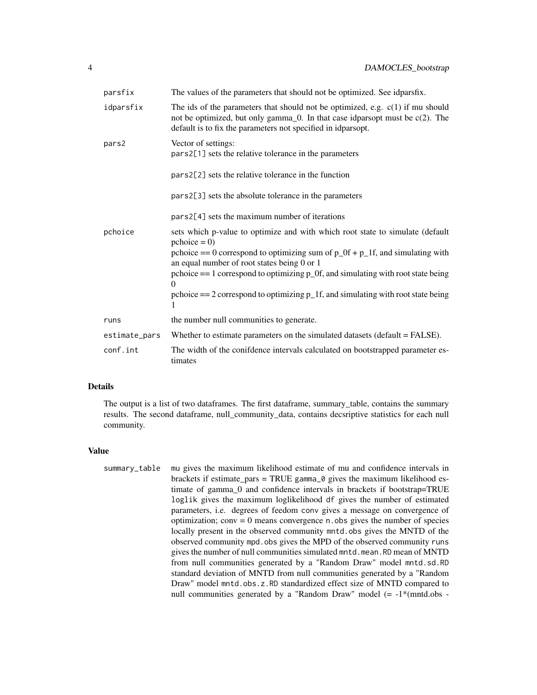| parsfix       | The values of the parameters that should not be optimized. See idparsfix.                                                                                                                                                                                                                                                                                                                                                         |
|---------------|-----------------------------------------------------------------------------------------------------------------------------------------------------------------------------------------------------------------------------------------------------------------------------------------------------------------------------------------------------------------------------------------------------------------------------------|
| idparsfix     | The ids of the parameters that should not be optimized, e.g. $c(1)$ if mu should<br>not be optimized, but only gamma $\_0$ . In that case idparsopt must be c $(2)$ . The<br>default is to fix the parameters not specified in idparsopt.                                                                                                                                                                                         |
| pars2         | Vector of settings:<br>pars2[1] sets the relative tolerance in the parameters                                                                                                                                                                                                                                                                                                                                                     |
|               | pars2[2] sets the relative tolerance in the function                                                                                                                                                                                                                                                                                                                                                                              |
|               | pars2[3] sets the absolute tolerance in the parameters                                                                                                                                                                                                                                                                                                                                                                            |
|               | pars2[4] sets the maximum number of iterations                                                                                                                                                                                                                                                                                                                                                                                    |
| pchoice       | sets which p-value to optimize and with which root state to simulate (default<br>$\text{pchoice} = 0$<br>pchoice == 0 correspond to optimizing sum of $p_0$ f + $p_1$ f, and simulating with<br>an equal number of root states being 0 or 1<br>pchoice $== 1$ correspond to optimizing $p_0$ . and simulating with root state being<br>pchoice $== 2$ correspond to optimizing $p_1f$ , and simulating with root state being<br>1 |
| runs          | the number null communities to generate.                                                                                                                                                                                                                                                                                                                                                                                          |
| estimate_pars | Whether to estimate parameters on the simulated datasets (default = FALSE).                                                                                                                                                                                                                                                                                                                                                       |
| conf.int      | The width of the conifdence intervals calculated on bootstrapped parameter es-<br>timates                                                                                                                                                                                                                                                                                                                                         |

# Details

The output is a list of two dataframes. The first dataframe, summary\_table, contains the summary results. The second dataframe, null\_community\_data, contains decsriptive statistics for each null community.

#### Value

summary\_table mu gives the maximum likelihood estimate of mu and confidence intervals in brackets if estimate  $pars = TRUE$  gamma $_0$  gives the maximum likelihood estimate of gamma\_0 and confidence intervals in brackets if bootstrap=TRUE loglik gives the maximum loglikelihood df gives the number of estimated parameters, i.e. degrees of feedom conv gives a message on convergence of optimization;  $conv = 0$  means convergence n.obs gives the number of species locally present in the observed community mntd.obs gives the MNTD of the observed community mpd.obs gives the MPD of the observed community runs gives the number of null communities simulated mntd.mean.RD mean of MNTD from null communities generated by a "Random Draw" model mntd.sd.RD standard deviation of MNTD from null communities generated by a "Random Draw" model mntd.obs.z.RD standardized effect size of MNTD compared to null communities generated by a "Random Draw" model (= -1\*(mntd.obs -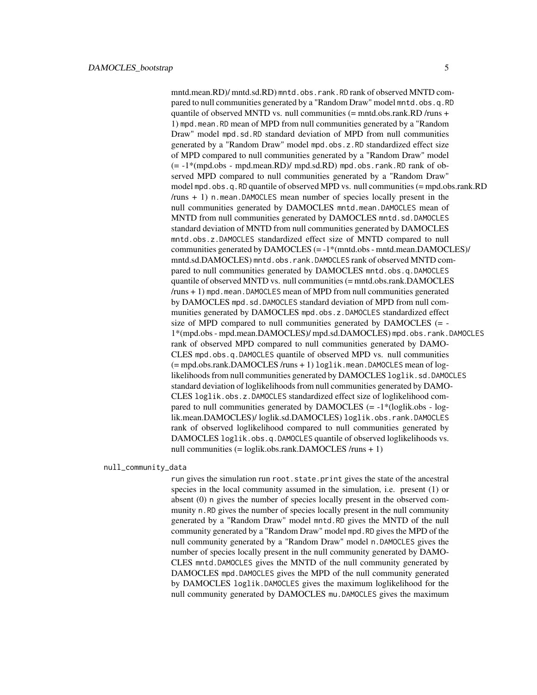mntd.mean.RD)/ mntd.sd.RD) mntd.obs.rank.RD rank of observed MNTD compared to null communities generated by a "Random Draw" model mntd.obs.q.RD quantile of observed MNTD vs. null communities  $(=$  mntd.obs.rank.RD /runs  $+$ 1) mpd.mean.RD mean of MPD from null communities generated by a "Random Draw" model mpd.sd.RD standard deviation of MPD from null communities generated by a "Random Draw" model mpd.obs.z.RD standardized effect size of MPD compared to null communities generated by a "Random Draw" model  $(= -1^* (mpd.obs - mpd.mean.RD) / mpd. s d.RD)$  mpd.obs.rank.RD rank of observed MPD compared to null communities generated by a "Random Draw" model mpd.obs.q.RD quantile of observed MPD vs. null communities (= mpd.obs.rank.RD /runs + 1) n.mean.DAMOCLES mean number of species locally present in the null communities generated by DAMOCLES mntd.mean.DAMOCLES mean of MNTD from null communities generated by DAMOCLES mntd.sd.DAMOCLES standard deviation of MNTD from null communities generated by DAMOCLES mntd.obs.z.DAMOCLES standardized effect size of MNTD compared to null communities generated by DAMOCLES (= -1\*(mntd.obs - mntd.mean.DAMOCLES)/ mntd.sd.DAMOCLES) mntd.obs.rank.DAMOCLES rank of observed MNTD compared to null communities generated by DAMOCLES mntd.obs.q.DAMOCLES quantile of observed MNTD vs. null communities (= mntd.obs.rank.DAMOCLES  $/$ runs  $+1$ ) mpd.mean.DAMOCLES mean of MPD from null communities generated by DAMOCLES mpd.sd.DAMOCLES standard deviation of MPD from null communities generated by DAMOCLES mpd.obs.z.DAMOCLES standardized effect size of MPD compared to null communities generated by DAMOCLES (= - 1\*(mpd.obs - mpd.mean.DAMOCLES)/ mpd.sd.DAMOCLES) mpd.obs.rank.DAMOCLES rank of observed MPD compared to null communities generated by DAMO-CLES mpd.obs.q.DAMOCLES quantile of observed MPD vs. null communities (= mpd.obs.rank.DAMOCLES /runs + 1) loglik.mean.DAMOCLES mean of loglikelihoods from null communities generated by DAMOCLES loglik.sd.DAMOCLES standard deviation of loglikelihoods from null communities generated by DAMO-CLES loglik.obs.z.DAMOCLES standardized effect size of loglikelihood compared to null communities generated by  $DAMOCLES$  (=  $-1*(loglik.obs - log$ lik.mean.DAMOCLES)/ loglik.sd.DAMOCLES) loglik.obs.rank.DAMOCLES rank of observed loglikelihood compared to null communities generated by DAMOCLES loglik.obs.q.DAMOCLES quantile of observed loglikelihoods vs. null communities (= loglik.obs.rank.DAMOCLES /runs + 1)

null\_community\_data

run gives the simulation run root.state.print gives the state of the ancestral species in the local community assumed in the simulation, i.e. present (1) or absent (0) n gives the number of species locally present in the observed community n.RD gives the number of species locally present in the null community generated by a "Random Draw" model mntd.RD gives the MNTD of the null community generated by a "Random Draw" model mpd.RD gives the MPD of the null community generated by a "Random Draw" model n.DAMOCLES gives the number of species locally present in the null community generated by DAMO-CLES mntd.DAMOCLES gives the MNTD of the null community generated by DAMOCLES mpd.DAMOCLES gives the MPD of the null community generated by DAMOCLES loglik.DAMOCLES gives the maximum loglikelihood for the null community generated by DAMOCLES mu.DAMOCLES gives the maximum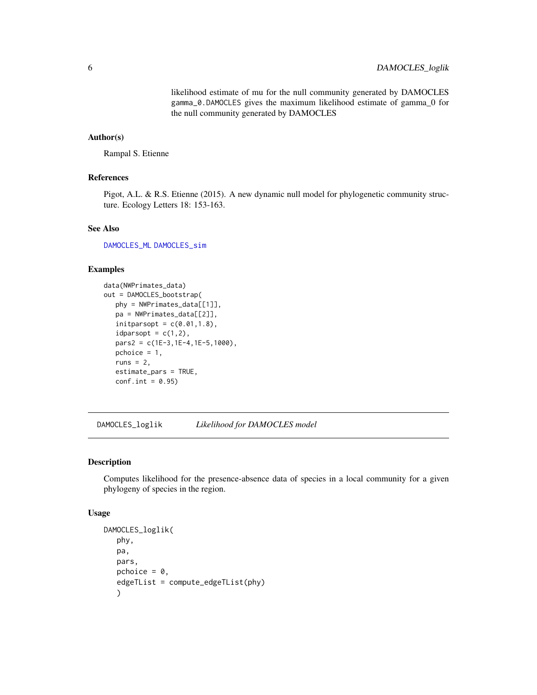likelihood estimate of mu for the null community generated by DAMOCLES gamma\_0.DAMOCLES gives the maximum likelihood estimate of gamma\_0 for the null community generated by DAMOCLES

# <span id="page-5-0"></span>Author(s)

Rampal S. Etienne

#### References

Pigot, A.L. & R.S. Etienne (2015). A new dynamic null model for phylogenetic community structure. Ecology Letters 18: 153-163.

#### See Also

[DAMOCLES\\_ML](#page-7-1) [DAMOCLES\\_sim](#page-9-1)

#### Examples

```
data(NWPrimates_data)
out = DAMOCLES_bootstrap(
  phy = NWPrimates_data[[1]],
   pa = NWPrimates_data[[2]],
   initparsopt = c(0.01, 1.8),
   idparsopt = c(1,2),
   pars2 = c(1E-3,1E-4,1E-5,1000),
   pchoice = 1,
   runs = 2,
   estimate_pars = TRUE,
   conf.int = 0.95)
```
<span id="page-5-1"></span>DAMOCLES\_loglik *Likelihood for DAMOCLES model*

#### Description

Computes likelihood for the presence-absence data of species in a local community for a given phylogeny of species in the region.

#### Usage

```
DAMOCLES_loglik(
   phy,
   pa,
   pars,
   pchoice = \theta,
   edgeTList = compute_edgeTList(phy)
   )
```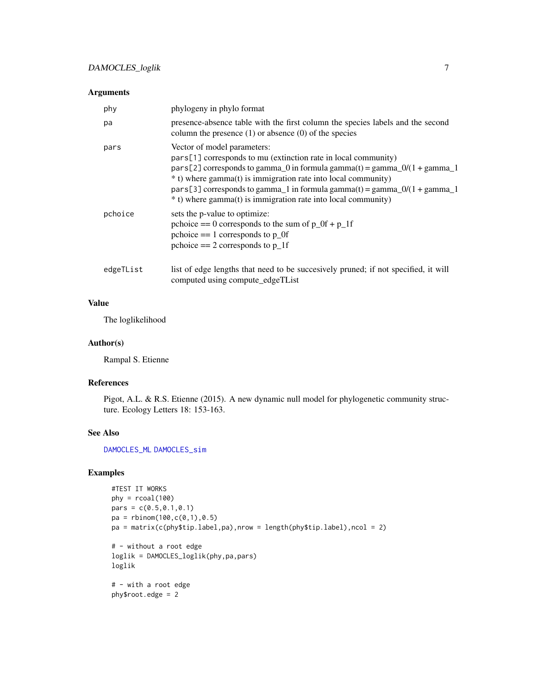### <span id="page-6-0"></span>Arguments

| phy       | phylogeny in phylo format                                                                                                                                                                                                                                                                                                                                                                 |
|-----------|-------------------------------------------------------------------------------------------------------------------------------------------------------------------------------------------------------------------------------------------------------------------------------------------------------------------------------------------------------------------------------------------|
| pa        | presence-absence table with the first column the species labels and the second<br>column the presence $(1)$ or absence $(0)$ of the species                                                                                                                                                                                                                                               |
| pars      | Vector of model parameters:<br>pars[1] corresponds to mu (extinction rate in local community)<br>pars[2] corresponds to gamma_0 in formula gamma(t) = gamma_0/(1 + gamma_1<br>* t) where gamma(t) is immigration rate into local community)<br>pars[3] corresponds to gamma_1 in formula gamma(t) = gamma_0/(1 + gamma_1<br>* t) where gamma(t) is immigration rate into local community) |
| pchoice   | sets the p-value to optimize:<br>pchoice $== 0$ corresponds to the sum of $p_0 + p_1$ if<br>pchoice $== 1$ corresponds to $p_0$<br>pchoice $== 2$ corresponds to $p_1$ f                                                                                                                                                                                                                  |
| edgeTList | list of edge lengths that need to be succesively pruned; if not specified, it will<br>computed using compute_edgeTList                                                                                                                                                                                                                                                                    |

# Value

The loglikelihood

#### Author(s)

Rampal S. Etienne

### References

Pigot, A.L. & R.S. Etienne (2015). A new dynamic null model for phylogenetic community structure. Ecology Letters 18: 153-163.

# See Also

[DAMOCLES\\_ML](#page-7-1) [DAMOCLES\\_sim](#page-9-1)

# Examples

```
#TEST IT WORKS
phy = rcoal(100)pars = c(0.5, 0.1, 0.1)pa = rbinom(100, c(0, 1), 0.5)pa = matrix(c(phy$tip.label,pa),nrow = length(phy$tip.label),ncol = 2)
# - without a root edge
loglik = DAMOCLES_loglik(phy,pa,pars)
loglik
# - with a root edge
phy$root.edge = 2
```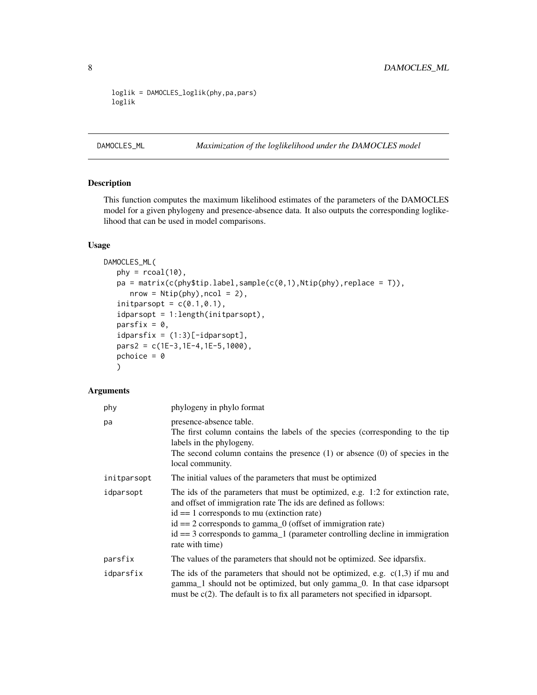```
loglik = DAMOCLES_loglik(phy,pa,pars)
loglik
```
# <span id="page-7-1"></span>DAMOCLES\_ML *Maximization of the loglikelihood under the DAMOCLES model*

# Description

This function computes the maximum likelihood estimates of the parameters of the DAMOCLES model for a given phylogeny and presence-absence data. It also outputs the corresponding loglikelihood that can be used in model comparisons.

# Usage

```
DAMOCLES_ML(
   phy = r\text{coal}(10),
   pa = matrix(c(phystipr.label,sample(c(0,1),Ntip(phy),replace = T)),nrow = Ntip(phy), ncol = 2),initparsopt = c(0.1, 0.1),idparsopt = 1:length(initparsopt),
   parsfix = 0,
   idparsfix = (1:3)[-idparsopt],pars2 = c(1E-3,1E-4,1E-5,1000),
   pchoice = \theta)
```
# Arguments

| phy         | phylogeny in phylo format                                                                                                                                                                                                                                                                                                                                                              |
|-------------|----------------------------------------------------------------------------------------------------------------------------------------------------------------------------------------------------------------------------------------------------------------------------------------------------------------------------------------------------------------------------------------|
| pa          | presence-absence table.<br>The first column contains the labels of the species (corresponding to the tip<br>labels in the phylogeny.<br>The second column contains the presence $(1)$ or absence $(0)$ of species in the<br>local community.                                                                                                                                           |
| initparsopt | The initial values of the parameters that must be optimized                                                                                                                                                                                                                                                                                                                            |
| idparsopt   | The ids of the parameters that must be optimized, e.g. 1:2 for extinction rate,<br>and offset of immigration rate The ids are defined as follows:<br>$id == 1$ corresponds to mu (extinction rate)<br>$id == 2$ corresponds to gamma $_0$ (offset of immigration rate)<br>$id == 3$ corresponds to gamma <sub>1</sub> (parameter controlling decline in immigration<br>rate with time) |
| parsfix     | The values of the parameters that should not be optimized. See idparsfix.                                                                                                                                                                                                                                                                                                              |
| idparsfix   | The ids of the parameters that should not be optimized, e.g. $c(1,3)$ if mu and<br>gamma_1 should not be optimized, but only gamma_0. In that case idparsopt<br>must be $c(2)$ . The default is to fix all parameters not specified in idparsopt.                                                                                                                                      |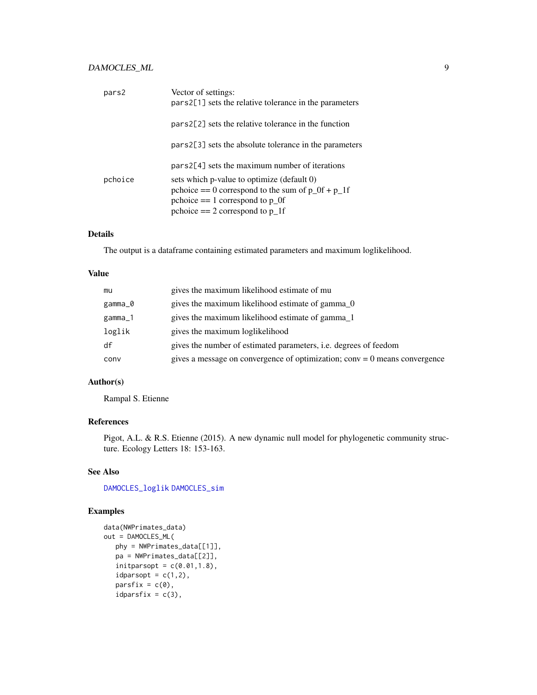# <span id="page-8-0"></span>DAMOCLES\_ML 9

| pars2   | Vector of settings:<br>pars2[1] sets the relative tolerance in the parameters |
|---------|-------------------------------------------------------------------------------|
|         | pars2[2] sets the relative tolerance in the function                          |
|         | pars2[3] sets the absolute tolerance in the parameters                        |
|         | $pars2[4]$ sets the maximum number of iterations                              |
| pchoice | sets which p-value to optimize (default 0)                                    |
|         | pchoice $== 0$ correspond to the sum of $p_0 + p_1$ if                        |
|         | pchoice $== 1$ correspond to $p_0$                                            |
|         | pchoice $== 2$ correspond to $p_1$ f                                          |

# Details

The output is a dataframe containing estimated parameters and maximum loglikelihood.

#### Value

| mu      | gives the maximum likelihood estimate of mu                                  |
|---------|------------------------------------------------------------------------------|
| gamma_0 | gives the maximum likelihood estimate of gamma 0                             |
| gamma_1 | gives the maximum likelihood estimate of gamma_1                             |
| loglik  | gives the maximum loglikelihood                                              |
| df      | gives the number of estimated parameters, <i>i.e.</i> degrees of feedom      |
| conv    | gives a message on convergence of optimization; $conv = 0$ means convergence |

# Author(s)

Rampal S. Etienne

# References

Pigot, A.L. & R.S. Etienne (2015). A new dynamic null model for phylogenetic community structure. Ecology Letters 18: 153-163.

# See Also

[DAMOCLES\\_loglik](#page-5-1) [DAMOCLES\\_sim](#page-9-1)

# Examples

```
data(NWPrimates_data)
out = DAMOCLES_ML(
  phy = NWPrimates_data[[1]],
  pa = NWPrimates_data[[2]],
   initparsopt = c(0.01, 1.8),
  idparsept = c(1,2),
  partsfix = c(0),idparsfix = c(3),
```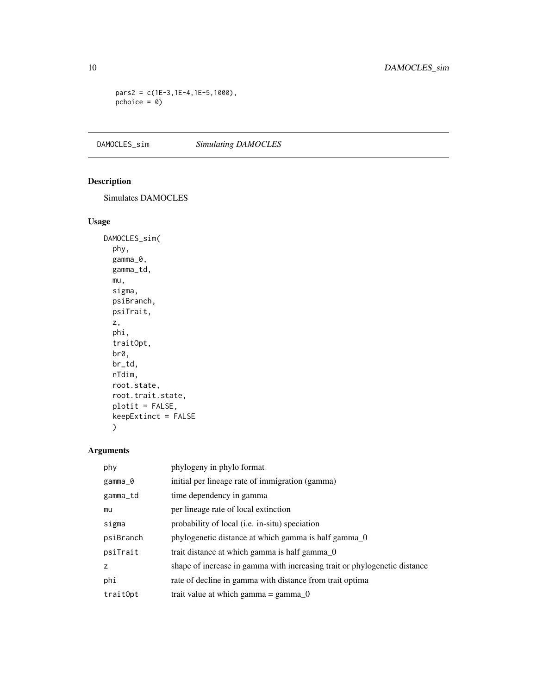pars2 = c(1E-3,1E-4,1E-5,1000), pchoice = 0)

<span id="page-9-1"></span>DAMOCLES\_sim *Simulating DAMOCLES*

# Description

Simulates DAMOCLES

# Usage

```
DAMOCLES_sim(
 phy,
  gamma_0,
 gamma_td,
 mu,
 sigma,
 psiBranch,
 psiTrait,
 z,
 phi,
  traitOpt,
 br0,
 br_td,
 nTdim,
 root.state,
 root.trait.state,
 plotit = FALSE,
 keepExtinct = FALSE
  )
```
# Arguments

| phy       | phylogeny in phylo format                                                 |
|-----------|---------------------------------------------------------------------------|
| gamma_0   | initial per lineage rate of immigration (gamma)                           |
| gamma_td  | time dependency in gamma                                                  |
| mu        | per lineage rate of local extinction                                      |
| sigma     | probability of local ( <i>i.e.</i> in-situ) speciation                    |
| psiBranch | phylogenetic distance at which gamma is half gamma 0                      |
| psiTrait  | trait distance at which gamma is half gamma 0                             |
| Z         | shape of increase in gamma with increasing trait or phylogenetic distance |
| phi       | rate of decline in gamma with distance from trait optima                  |
| trait0pt  | trait value at which gamma = $gamma_0$                                    |

<span id="page-9-0"></span>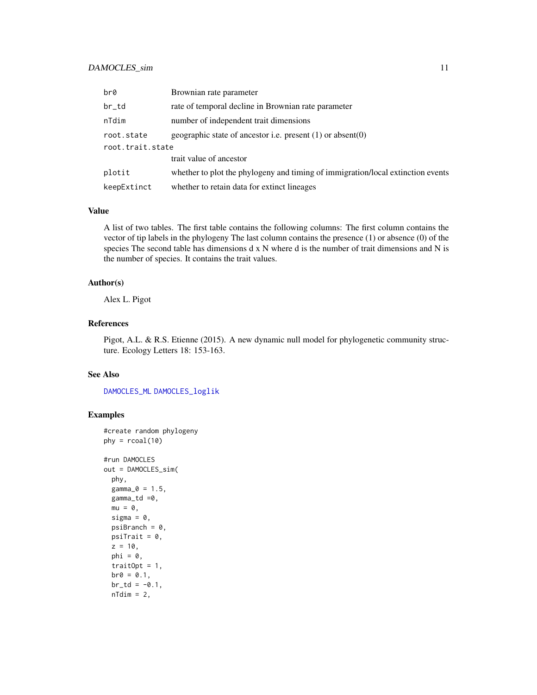# <span id="page-10-0"></span>DAMOCLES\_sim 11

| br0              | Brownian rate parameter                                                         |
|------------------|---------------------------------------------------------------------------------|
| br_td            | rate of temporal decline in Brownian rate parameter                             |
| nTdim            | number of independent trait dimensions                                          |
| root.state       | geographic state of ancestor i.e. present $(1)$ or absent $(0)$                 |
| root.trait.state |                                                                                 |
|                  | trait value of ancestor                                                         |
| plotit           | whether to plot the phylogeny and timing of immigration/local extinction events |
| keepExtinct      | whether to retain data for extinct lineages                                     |

#### Value

A list of two tables. The first table contains the following columns: The first column contains the vector of tip labels in the phylogeny The last column contains the presence (1) or absence (0) of the species The second table has dimensions d x N where d is the number of trait dimensions and N is the number of species. It contains the trait values.

#### Author(s)

Alex L. Pigot

# References

Pigot, A.L. & R.S. Etienne (2015). A new dynamic null model for phylogenetic community structure. Ecology Letters 18: 153-163.

# See Also

[DAMOCLES\\_ML](#page-7-1) [DAMOCLES\\_loglik](#page-5-1)

# Examples

```
#create random phylogeny
phy = rcoal(10)#run DAMOCLES
out = DAMOCLES_sim(
  phy,
 gamma_0 = 1.5,
  gamma_td =0,
  mu = 0,
  sigma = 0,psilon = 0,
  psiTrait = 0,
  z = 10,
  phi = 0,
  traitOpt = 1,
  b r \, 0 = 0.1,
  br\_td = -0.1,
  nTdim = 2,
```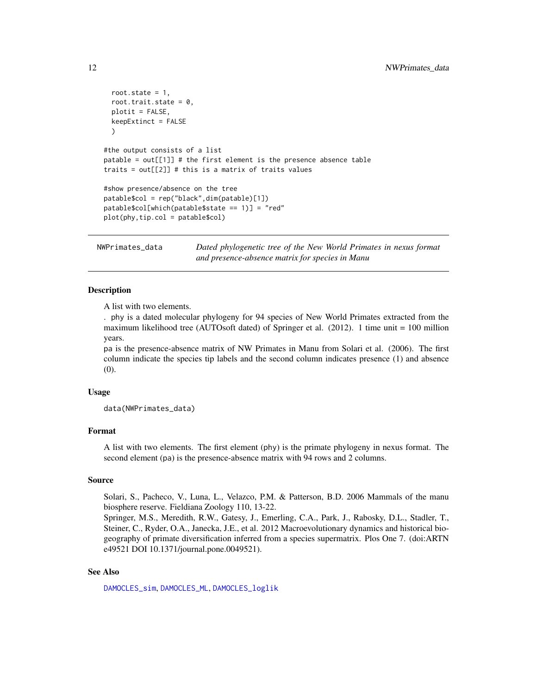```
root.state = 1,
 root.trait.state = 0,
 plotit = FALSE,
 keepExtinct = FALSE
 )
#the output consists of a list
patable = out[[1]] # the first element is the presence absence table
traits = out[[2]] # this is a matrix of traits values
#show presence/absence on the tree
patable$col = rep("black",dim(patable)[1])
patable$col[which(patable$state == 1)] = "red"
plot(phy,tip.col = patable$col)
```
NWPrimates\_data *Dated phylogenetic tree of the New World Primates in nexus format and presence-absence matrix for species in Manu*

#### Description

A list with two elements.

. phy is a dated molecular phylogeny for 94 species of New World Primates extracted from the maximum likelihood tree (AUTOsoft dated) of Springer et al. (2012). 1 time unit = 100 million years.

pa is the presence-absence matrix of NW Primates in Manu from Solari et al. (2006). The first column indicate the species tip labels and the second column indicates presence (1) and absence (0).

#### Usage

data(NWPrimates\_data)

#### Format

A list with two elements. The first element (phy) is the primate phylogeny in nexus format. The second element (pa) is the presence-absence matrix with 94 rows and 2 columns.

#### Source

Solari, S., Pacheco, V., Luna, L., Velazco, P.M. & Patterson, B.D. 2006 Mammals of the manu biosphere reserve. Fieldiana Zoology 110, 13-22.

Springer, M.S., Meredith, R.W., Gatesy, J., Emerling, C.A., Park, J., Rabosky, D.L., Stadler, T., Steiner, C., Ryder, O.A., Janecka, J.E., et al. 2012 Macroevolutionary dynamics and historical biogeography of primate diversification inferred from a species supermatrix. Plos One 7. (doi:ARTN e49521 DOI 10.1371/journal.pone.0049521).

#### See Also

[DAMOCLES\\_sim](#page-9-1), [DAMOCLES\\_ML](#page-7-1), [DAMOCLES\\_loglik](#page-5-1)